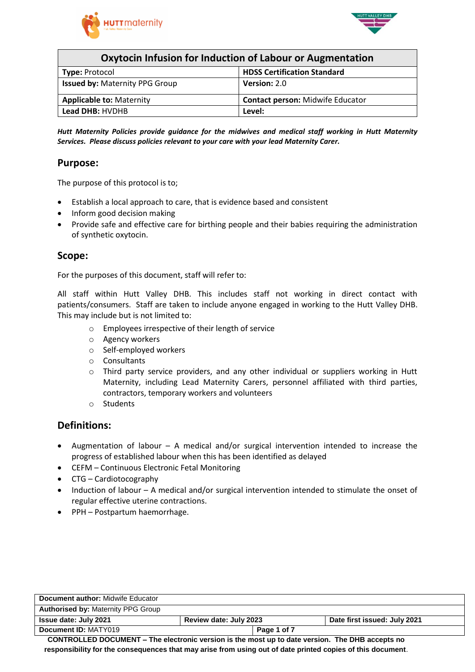



| Oxytocin Infusion for Induction of Labour or Augmentation |                                         |  |  |
|-----------------------------------------------------------|-----------------------------------------|--|--|
| <b>Type: Protocol</b>                                     | <b>HDSS Certification Standard</b>      |  |  |
| <b>Issued by: Maternity PPG Group</b>                     | Version: 2.0                            |  |  |
| <b>Applicable to: Maternity</b>                           | <b>Contact person: Midwife Educator</b> |  |  |
| Lead DHB: HVDHB<br>Level:                                 |                                         |  |  |

*Hutt Maternity Policies provide guidance for the midwives and medical staff working in Hutt Maternity Services. Please discuss policies relevant to your care with your lead Maternity Carer.*

### **Purpose:**

The purpose of this protocol is to;

- Establish a local approach to care, that is evidence based and consistent
- Inform good decision making
- Provide safe and effective care for birthing people and their babies requiring the administration of synthetic oxytocin.

### **Scope:**

For the purposes of this document, staff will refer to:

All staff within Hutt Valley DHB. This includes staff not working in direct contact with patients/consumers. Staff are taken to include anyone engaged in working to the Hutt Valley DHB. This may include but is not limited to:

- o Employees irrespective of their length of service
- o Agency workers
- o Self-employed workers
- o Consultants
- o Third party service providers, and any other individual or suppliers working in Hutt Maternity, including Lead Maternity Carers, personnel affiliated with third parties, contractors, temporary workers and volunteers
- o Students

### **Definitions:**

- Augmentation of labour A medical and/or surgical intervention intended to increase the progress of established labour when this has been identified as delayed
- CEFM Continuous Electronic Fetal Monitoring
- CTG Cardiotocography
- Induction of labour A medical and/or surgical intervention intended to stimulate the onset of regular effective uterine contractions.
- PPH Postpartum haemorrhage.

| <b>Document author:</b> Midwife Educator  |                        |             |                              |
|-------------------------------------------|------------------------|-------------|------------------------------|
| <b>Authorised by: Maternity PPG Group</b> |                        |             |                              |
| <b>Issue date: July 2021</b>              | Review date: July 2023 |             | Date first issued: July 2021 |
| Document ID: MATY019                      |                        | Page 1 of 7 |                              |
|                                           |                        |             | ----                         |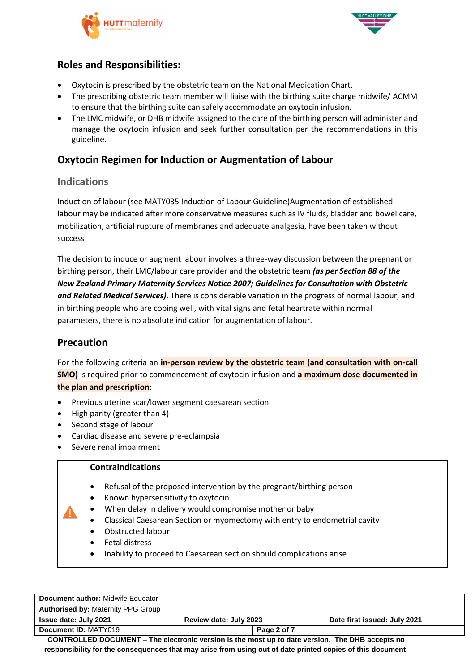



# **Roles and Responsibilities:**

- Oxytocin is prescribed by the obstetric team on the National Medication Chart.
- The prescribing obstetric team member will liaise with the birthing suite charge midwife/ ACMM to ensure that the birthing suite can safely accommodate an oxytocin infusion.
- The LMC midwife, or DHB midwife assigned to the care of the birthing person will administer and manage the oxytocin infusion and seek further consultation per the recommendations in this guideline.

## **Oxytocin Regimen for Induction or Augmentation of Labour**

### **Indications**

Induction of labour (see MATY035 Induction of Labour Guideline)Augmentation of established labour may be indicated after more conservative measures such as IV fluids, bladder and bowel care, mobilization, artificial rupture of membranes and adequate analgesia, have been taken without success

The decision to induce or augment labour involves a three-way discussion between the pregnant or birthing person, their LMC/labour care provider and the obstetric team *(as per Section 88 of the New Zealand Primary Maternity Services Notice 2007; Guidelines for Consultation with Obstetric and Related Medical Services)*. There is considerable variation in the progress of normal labour, and in birthing people who are coping well, with vital signs and fetal heartrate within normal parameters, there is no absolute indication for augmentation of labour.

### **Precaution**

For the following criteria an **in-person review by the obstetric team (and consultation with on-call SMO)** is required prior to commencement of oxytocin infusion and **a maximum dose documented in the plan and prescription**:

- Previous uterine scar/lower segment caesarean section
- High parity (greater than 4)
- Second stage of labour
- Cardiac disease and severe pre-eclampsia
- Severe renal impairment

### **Contraindications**

- Refusal of the proposed intervention by the pregnant/birthing person
- Known hypersensitivity to oxytocin
- When delay in delivery would compromise mother or baby
- Classical Caesarean Section or myomectomy with entry to endometrial cavity
- Obstructed labour
- Fetal distress
- Inability to proceed to Caesarean section should complications arise

| <b>Document author: Midwife Educator</b>  |                        |             |                              |
|-------------------------------------------|------------------------|-------------|------------------------------|
| <b>Authorised by: Maternity PPG Group</b> |                        |             |                              |
| Issue date: July 2021                     | Review date: July 2023 |             | Date first issued: July 2021 |
| Document ID: MATY019                      |                        | Page 2 of 7 |                              |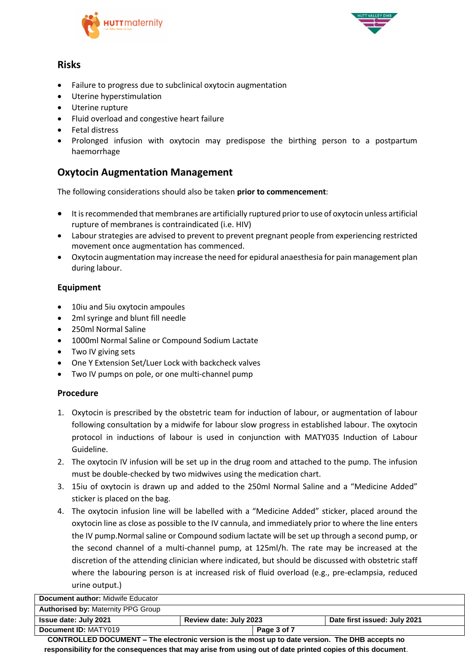



## **Risks**

- Failure to progress due to subclinical oxytocin augmentation
- Uterine hyperstimulation
- Uterine rupture
- Fluid overload and congestive heart failure
- Fetal distress
- Prolonged infusion with oxytocin may predispose the birthing person to a postpartum haemorrhage

## **Oxytocin Augmentation Management**

The following considerations should also be taken **prior to commencement**:

- It is recommended that membranes are artificially ruptured prior to use of oxytocin unless artificial rupture of membranes is contraindicated (i.e. HIV)
- Labour strategies are advised to prevent to prevent pregnant people from experiencing restricted movement once augmentation has commenced.
- Oxytocin augmentation may increase the need for epidural anaesthesia for pain management plan during labour.

### **Equipment**

- 10iu and 5iu oxytocin ampoules
- 2ml syringe and blunt fill needle
- 250ml Normal Saline
- 1000ml Normal Saline or Compound Sodium Lactate
- Two IV giving sets
- One Y Extension Set/Luer Lock with backcheck valves
- Two IV pumps on pole, or one multi-channel pump

### **Procedure**

- 1. Oxytocin is prescribed by the obstetric team for induction of labour, or augmentation of labour following consultation by a midwife for labour slow progress in established labour. The oxytocin protocol in inductions of labour is used in conjunction with MATY035 Induction of Labour Guideline.
- 2. The oxytocin IV infusion will be set up in the drug room and attached to the pump. The infusion must be double-checked by two midwives using the medication chart.
- 3. 15iu of oxytocin is drawn up and added to the 250ml Normal Saline and a "Medicine Added" sticker is placed on the bag.
- 4. The oxytocin infusion line will be labelled with a "Medicine Added" sticker, placed around the oxytocin line as close as possible to the IV cannula, and immediately prior to where the line enters the IV pump.Normal saline or Compound sodium lactate will be set up through a second pump, or the second channel of a multi-channel pump, at 125ml/h. The rate may be increased at the discretion of the attending clinician where indicated, but should be discussed with obstetric staff where the labouring person is at increased risk of fluid overload (e.g., pre-eclampsia, reduced urine output.)

| Document author: Midwife Educator         |                        |             |                              |
|-------------------------------------------|------------------------|-------------|------------------------------|
| <b>Authorised by: Maternity PPG Group</b> |                        |             |                              |
| <b>Issue date: July 2021</b>              | Review date: July 2023 |             | Date first issued: July 2021 |
| Document ID: MATY019                      |                        | Page 3 of 7 |                              |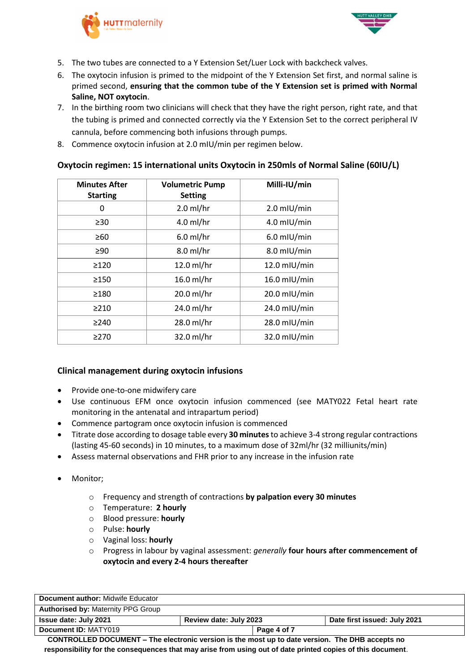



- 5. The two tubes are connected to a Y Extension Set/Luer Lock with backcheck valves.
- 6. The oxytocin infusion is primed to the midpoint of the Y Extension Set first, and normal saline is primed second, **ensuring that the common tube of the Y Extension set is primed with Normal Saline, NOT oxytocin**.
- 7. In the birthing room two clinicians will check that they have the right person, right rate, and that the tubing is primed and connected correctly via the Y Extension Set to the correct peripheral IV cannula, before commencing both infusions through pumps.
- 8. Commence oxytocin infusion at 2.0 mIU/min per regimen below.

### **Oxytocin regimen: 15 international units Oxytocin in 250mls of Normal Saline (60IU/L)**

| <b>Minutes After</b><br><b>Starting</b> | <b>Volumetric Pump</b><br><b>Setting</b> | Milli-IU/min   |
|-----------------------------------------|------------------------------------------|----------------|
| 0                                       | $2.0$ ml/hr                              | $2.0$ mIU/min  |
| $\geq 30$                               | $4.0$ ml/hr                              | $4.0$ mIU/min  |
| $\geq 60$                               | $6.0$ ml/hr                              | $6.0$ mIU/min  |
| $\geq 90$                               | $8.0$ ml/hr                              | 8.0 mIU/min    |
| >120                                    | $12.0$ ml/hr                             | 12.0 mIU/min   |
| >150                                    | $16.0$ ml/hr                             | 16.0 mIU/min   |
| >180                                    | 20.0 ml/hr                               | $20.0$ mIU/min |
| >210                                    | 24.0 ml/hr                               | $24.0$ mIU/min |
| $\geq$ 240                              | 28.0 ml/hr                               | 28.0 mIU/min   |
| $\geq$ 270                              | 32.0 ml/hr                               | $32.0$ mIU/min |

### **Clinical management during oxytocin infusions**

- Provide one-to-one midwifery care
- Use continuous EFM once oxytocin infusion commenced (see MATY022 Fetal heart rate monitoring in the antenatal and intrapartum period)
- Commence partogram once oxytocin infusion is commenced
- Titrate dose according to dosage table every **30 minutes**to achieve 3-4 strong regular contractions (lasting 45-60 seconds) in 10 minutes, to a maximum dose of 32ml/hr (32 milliunits/min)
- Assess maternal observations and FHR prior to any increase in the infusion rate
- Monitor:
	- o Frequency and strength of contractions **by palpation every 30 minutes**
	- o Temperature: **2 hourly**
	- o Blood pressure: **hourly**
	- o Pulse: **hourly**
	- o Vaginal loss: **hourly**
	- o Progress in labour by vaginal assessment: *generally* **four hours after commencement of oxytocin and every 2-4 hours thereafter**

| <b>Document author:</b> Midwife Educator                                                       |                        |             |                              |
|------------------------------------------------------------------------------------------------|------------------------|-------------|------------------------------|
| <b>Authorised by: Maternity PPG Group</b>                                                      |                        |             |                              |
| <b>Issue date: July 2021</b>                                                                   | Review date: July 2023 |             | Date first issued: July 2021 |
| Document ID: MATY019                                                                           |                        | Page 4 of 7 |                              |
| CONTROLLED DOCUMENT. The electronic version is the meet up to date version. The DUR seconts no |                        |             |                              |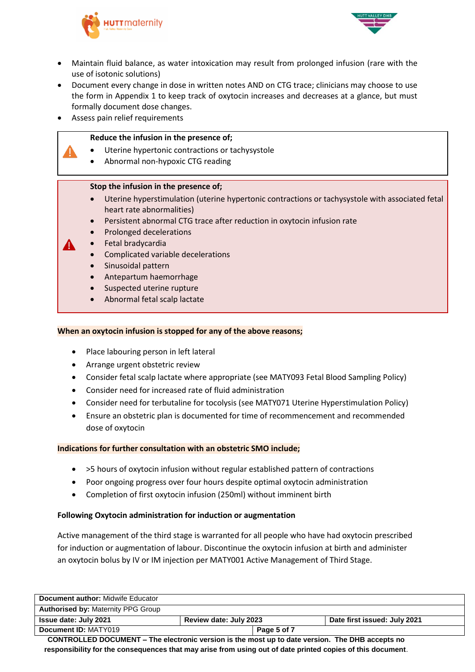



- Maintain fluid balance, as water intoxication may result from prolonged infusion (rare with the use of isotonic solutions)
- Document every change in dose in written notes AND on CTG trace; clinicians may choose to use the form in Appendix 1 to keep track of oxytocin increases and decreases at a glance, but must formally document dose changes.
- Assess pain relief requirements

#### **Reduce the infusion in the presence of;**

- Uterine hypertonic contractions or tachysystole
- Abnormal non-hypoxic CTG reading

#### **Stop the infusion in the presence of;**

- Uterine hyperstimulation (uterine hypertonic contractions or tachysystole with associated fetal heart rate abnormalities)
- Persistent abnormal CTG trace after reduction in oxytocin infusion rate
- Prolonged decelerations
- Fetal bradycardia
	- Complicated variable decelerations
	- Sinusoidal pattern
- Antepartum haemorrhage
- Suspected uterine rupture
- Abnormal fetal scalp lactate

#### **When an oxytocin infusion is stopped for any of the above reasons;**

- Place labouring person in left lateral
- Arrange urgent obstetric review
- Consider fetal scalp lactate where appropriate (see MATY093 Fetal Blood Sampling Policy)
- Consider need for increased rate of fluid administration
- Consider need for terbutaline for tocolysis (see MATY071 Uterine Hyperstimulation Policy)
- Ensure an obstetric plan is documented for time of recommencement and recommended dose of oxytocin

#### **Indications for further consultation with an obstetric SMO include;**

- >5 hours of oxytocin infusion without regular established pattern of contractions
- Poor ongoing progress over four hours despite optimal oxytocin administration
- Completion of first oxytocin infusion (250ml) without imminent birth

#### **Following Oxytocin administration for induction or augmentation**

Active management of the third stage is warranted for all people who have had oxytocin prescribed for induction or augmentation of labour. Discontinue the oxytocin infusion at birth and administer an oxytocin bolus by IV or IM injection per MATY001 Active Management of Third Stage.

| <b>Document author: Midwife Educator</b>  |                        |                              |
|-------------------------------------------|------------------------|------------------------------|
| <b>Authorised by: Maternity PPG Group</b> |                        |                              |
| Issue date: July 2021                     | Review date: July 2023 | Date first issued: July 2021 |
| Document ID: MATY019                      | Page 5 of 7            |                              |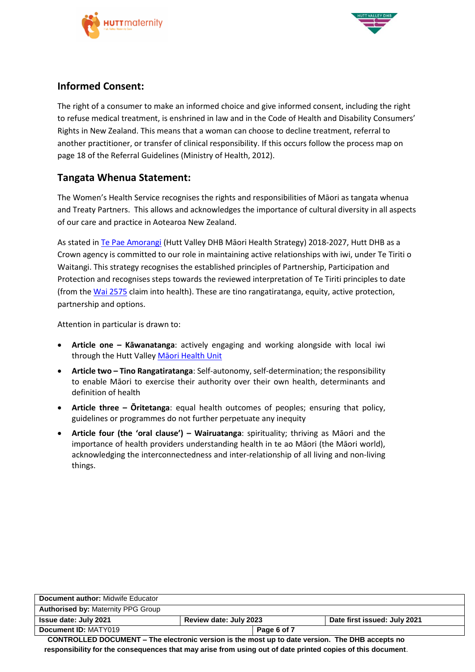



## **Informed Consent:**

The right of a consumer to make an informed choice and give informed consent, including the right to refuse medical treatment, is enshrined in law and in the Code of Health and Disability Consumers' Rights in New Zealand. This means that a woman can choose to decline treatment, referral to another practitioner, or transfer of clinical responsibility. If this occurs follow the process map on page 18 of the Referral Guidelines (Ministry of Health, 2012).

## **Tangata Whenua Statement:**

The Women's Health Service recognises the rights and responsibilities of Māori as tangata whenua and Treaty Partners. This allows and acknowledges the importance of cultural diversity in all aspects of our care and practice in Aotearoa New Zealand.

As stated i[n Te Pae Amorangi](http://www.huttvalleydhb.org.nz/about-us/reports-and-publications/te-pae-amorangi/) (Hutt Valley DHB Māori Health Strategy) 2018-2027, Hutt DHB as a Crown agency is committed to our role in maintaining active relationships with iwi, under Te Tiriti o Waitangi. This strategy recognises the established principles of Partnership, Participation and Protection and recognises steps towards the reviewed interpretation of Te Tiriti principles to date (from the [Wai 2575](https://www.health.govt.nz/our-work/populations/maori-health/wai-2575-health-services-and-outcomes-kaupapa-inquiry) claim into health). These are tino rangatiratanga, equity, active protection, partnership and options.

Attention in particular is drawn to:

- **Article one – Kāwanatanga**: actively engaging and working alongside with local iwi through the Hutt Valley Maori Health Unit
- **Article two – Tino Rangatiratanga**: Self-autonomy, self-determination; the responsibility to enable Māori to exercise their authority over their own health, determinants and definition of health
- **Article three – Ōritetanga**: equal health outcomes of peoples; ensuring that policy, guidelines or programmes do not further perpetuate any inequity
- **Article four (the 'oral clause') – Wairuatanga**: spirituality; thriving as Māori and the importance of health providers understanding health in te ao Māori (the Māori world), acknowledging the interconnectedness and inter-relationship of all living and non-living things.

| Document author: Midwife Educator                                                                                |                        |             |                              |
|------------------------------------------------------------------------------------------------------------------|------------------------|-------------|------------------------------|
| <b>Authorised by: Maternity PPG Group</b>                                                                        |                        |             |                              |
| <b>Issue date: July 2021</b>                                                                                     | Review date: July 2023 |             | Date first issued: July 2021 |
| Document ID: MATY019                                                                                             |                        | Page 6 of 7 |                              |
| CONTROLLER BOOUSENT<br>- 王氏 coloration to constant to the model control data constant. 王氏: BIIB are controled on |                        |             |                              |